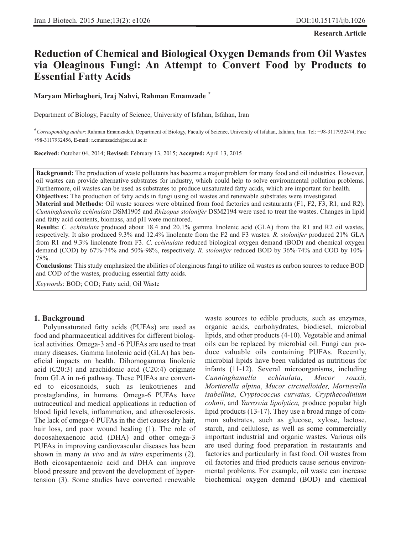**Research Article**

# **Reduction of Chemical and Biological Oxygen Demands from Oil Wastes via Oleaginous Fungi: An Attempt to Convert Food by Products to Essential Fatty Acids**

#### **Maryam Mirbagheri, Iraj Nahvi, Rahman Emamzade \***

Department of Biology, Faculty of Science, University of Isfahan, Isfahan, Iran

**\****Corresponding author*: Rahman Emamzadeh, Department of Biology, Faculty of Science, University of Isfahan, Isfahan, Iran. Tel: +98-3117932474, Fax: +98-3117932456, E-mail: r.emamzadeh@sci.ui.ac.ir

**Received:** October 04, 2014; **Revised:** February 13, 2015; **Accepted:** April 13, 2015

**Background:** The production of waste pollutants has become a major problem for many food and oil industries. However, oil wastes can provide alternative substrates for industry, which could help to solve environmental pollution problems. Furthermore, oil wastes can be used as substrates to produce unsaturated fatty acids, which are important for health. **Objectives:** The production of fatty acids in fungi using oil wastes and renewable substrates were investigated.

**Material and Methods:** Oil waste sources were obtained from food factories and restaurants (F1, F2, F3, R1, and R2). *Cunninghamella echinulata* DSM1905 and *Rhizopus stolonifer* DSM2194 were used to treat the wastes. Changes in lipid and fatty acid contents, biomass, and pH were monitored.

**Results:** *C*. *echinulata* produced about 18.4 and 20.1% gamma linolenic acid (GLA) from the R1 and R2 oil wastes, respectively. It also produced 9.3% and 12.4% linolenate from the F2 and F3 wastes. *R*. *stolonifer* produced 21% GLA from R1 and 9.3% linolenate from F3. *C*. *echinulata* reduced biological oxygen demand (BOD) and chemical oxygen demand (COD) by 67%-74% and 50%-98%, respectively. *R*. *stolonifer* reduced BOD by 36%-74% and COD by 10%- 78%.

**Conclusions:** This study emphasized the abilities of oleaginous fungi to utilize oil wastes as carbon sources to reduce BOD and COD of the wastes, producing essential fatty acids.

*Keywords*: BOD; COD; Fatty acid; Oil Waste

#### **1. Background**

Polyunsaturated fatty acids (PUFAs) are used as food and pharmaceutical additives for different biological activities. Omega-3 and -6 PUFAs are used to treat many diseases. Gamma linolenic acid (GLA) has beneficial impacts on health. Dihomogamma linolenic acid (C20:3) and arachidonic acid (C20:4) originate from GLA in n-6 pathway. These PUFAs are converted to eicosanoids, such as leukotrienes and prostaglandins, in humans. Omega-6 PUFAs have nutraceutical and medical applications in reduction of blood lipid levels, inflammation, and atherosclerosis. The lack of omega-6 PUFAs in the diet causes dry hair, hair loss, and poor wound healing (1). The role of docosahexaenoic acid (DHA) and other omega-3 PUFAs in improving cardiovascular diseases has been shown in many *in vivo* and *in vitro* experiments (2). Both eicosapentaenoic acid and DHA can improve blood pressure and prevent the development of hypertension (3). Some studies have converted renewable

waste sources to edible products, such as enzymes, organic acids, carbohydrates, biodiesel, microbial lipids, and other products (4-10). Vegetable and animal oils can be replaced by microbial oil. Fungi can produce valuable oils containing PUFAs. Recently, microbial lipids have been validated as nutritious for infants (11-12). Several microorganisms, including *Cunninghamella echinulata*, *Mucor rouxii, Mortierella alpina*, *Mucor circinelloides, Mortierella isabellina*, *Cryptococcus curvatus, Crypthecodinium cohnii*, and *Yarrowia lipolytica,* produce popular high lipid products (13-17). They use a broad range of common substrates, such as glucose, xylose, lactose, starch, and cellulose, as well as some commercially important industrial and organic wastes. Various oils are used during food preparation in restaurants and factories and particularly in fast food. Oil wastes from oil factories and fried products cause serious environmental problems. For example, oil waste can increase biochemical oxygen demand (BOD) and chemical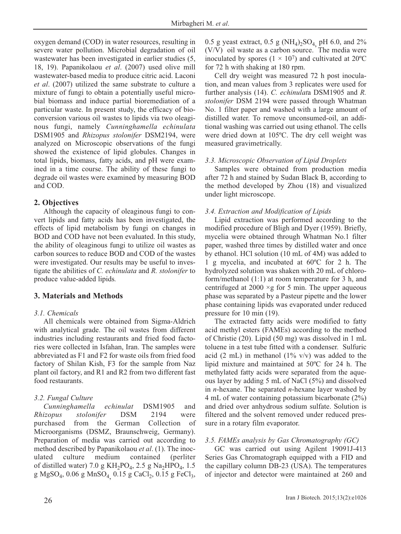oxygen demand (COD) in water resources, resulting in severe water pollution. Microbial degradation of oil wastewater has been investigated in earlier studies (5, 18, 19). Papanikolaou *et al*. (2007) used olive mill wastewater-based media to produce citric acid. Laconi *et al*. (2007) utilized the same substrate to culture a mixture of fungi to obtain a potentially useful microbial biomass and induce partial bioremediation of a particular waste. In present study, the efficacy of bioconversion various oil wastes to lipids via two oleaginous fungi, namely *Cunninghamella echinulata* DSM1905 and *Rhizopus stolonifer* DSM2194, were analyzed on Microscopic observations of the fungi showed the existence of lipid globules. Changes in total lipids, biomass, fatty acids, and pH were examined in a time course. The ability of these fungi to degrade oil wastes were examined by measuring BOD and COD.

## **2. Objectives**

Although the capacity of oleaginous fungi to convert lipids and fatty acids has been investigated, the effects of lipid metabolism by fungi on changes in BOD and COD have not been evaluated. In this study, the ability of oleaginous fungi to utilize oil wastes as carbon sources to reduce BOD and COD of the wastes were investigated. Our results may be useful to investigate the abilities of *C. echinulata* and *R. stolonifer* to produce value-added lipids*.*

# **3. Materials and Methods**

## *3.1. Chemicals*

All chemicals were obtained from Sigma-Aldrich with analytical grade. The oil wastes from different industries including restaurants and fried food factories were collected in Isfahan, Iran. The samples were abbreviated as F1 and F2 for waste oils from fried food factory of Shilan Kish, F3 for the sample from Naz plant oil factory, and R1 and R2 from two different fast food restaurants.

# *3.2. Fungal Culture*

*Cunninghamella echinulat* DSM1905 and *Rhizopus stolonifer* DSM 2194 were purchased from the German Collection of Microorganisms (DSMZ, Braunschweig, Germany). Preparation of media was carried out according to method described by Papanikolaou *et al*. (1). The inoculated culture medium contained (perliter of distilled water) 7.0 g  $KH_2PO_4$ , 2.5 g Na<sub>2</sub>HPO<sub>4</sub>, 1.5 g MgSO<sub>4</sub>, 0.06 g MnSO<sub>4</sub> 0.15 g CaCl<sub>2</sub>, 0.15 g FeCl<sub>3</sub>, 0.5 g yeast extract, 0.5 g (NH<sub>4</sub>)<sub>2</sub>SO<sub>4</sub> pH 6.0, and 2%  $(V/V)$  oil waste as a carbon source. The media were inoculated by spores  $(1 \times 10^7)$  and cultivated at 20<sup>o</sup>C for 72 h with shaking at 180 rpm.

Cell dry weight was measured 72 h post inoculation, and mean values from 3 replicates were used for further analysis (14). *C. echinulat*a DSM1905 and *R. stolonifer* DSM 2194 were passed through Whatman No. 1 filter paper and washed with a large amount of distilled water. To remove unconsumed-oil, an additional washing was carried out using ethanol. The cells were dried down at 105ºC. The dry cell weight was measured gravimetrically.

# *3.3. Microscopic Observation of Lipid Droplets*

Samples were obtained from production media after 72 h and stained by Sudan Black B, according to the method developed by Zhou (18) and visualized under light microscope.

# *3.4. Extraction and Modification of Lipids*

Lipid extraction was performed according to the modified procedure of Bligh and Dyer (1959). Briefly, mycelia were obtained through Whatman No.1 filter paper, washed three times by distilled water and once by ethanol. HCl solution (10 mL of 4M) was added to 1 g mycelia, and incubated at 60ºC for 2 h. The hydrolyzed solution was shaken with 20 mL of chloroform/methanol (1:1) at room temperature for 3 h, and centrifuged at  $2000 \times g$  for 5 min. The upper aqueous phase was separated by a Pasteur pipette and the lower phase containing lipids was evaporated under reduced pressure for 10 min (19).

The extracted fatty acids were modified to fatty acid methyl esters (FAMEs) according to the method of Christie (20). Lipid (50 mg) was dissolved in 1 mL toluene in a test tube fitted with a condenser. Sulfuric acid (2 mL) in methanol (1%  $v/v$ ) was added to the lipid mixture and maintained at 50ºC for 24 h. The methylated fatty acids were separated from the aqueous layer by adding 5 mL of NaCl (5%) and dissolved in *n*-hexane. The separated *n*-hexane layer washed by 4 mL of water containing potassium bicarbonate (2%) and dried over anhydrous sodium sulfate. Solution is filtered and the solvent removed under reduced pressure in a rotary film evaporator.

## *3.5. FAMEs analysis by Gas Chromatography (GC)*

GC was carried out using Agilent 19091J-413 Series Gas Chromatograph equipped with a FID and the capillary column DB-23 (USA). The temperatures of injector and detector were maintained at 260 and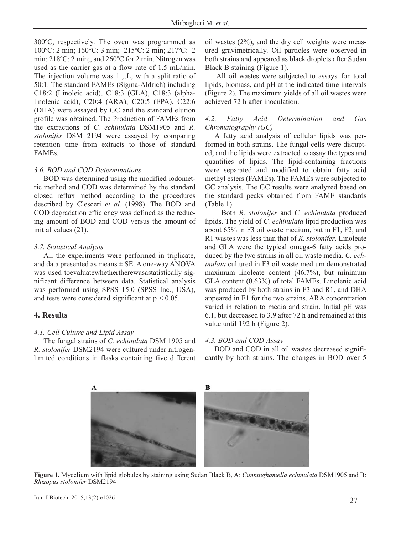300ºC, respectively. The oven was programmed as 100ºC: 2 min; 160°C: 3 min; 215ºC: 2 min; 217ºC: 2 min; 218ºC: 2 min;, and 260ºC for 2 min. Nitrogen was used as the carrier gas at a flow rate of 1.5 mL/min. The injection volume was 1 μL, with a split ratio of 50:1. The standard FAMEs (Sigma-Aldrich) including C18:2 (Linoleic acid), C18:3 (GLA), C18:3 (alphalinolenic acid), C20:4 (ARA), C20:5 (EPA), C22:6 (DHA) were assayed by GC and the standard elution profile was obtained. The Production of FAMEs from the extractions of *C. echinulata* DSM1905 and *R. stolonifer* DSM 2194 were assayed by comparing retention time from extracts to those of standard FAMEs.

#### *3.6. BOD and COD Determinations*

BOD was determined using the modified iodometric method and COD was determined by the standard closed reflux method according to the procedures described by Clesceri *et al.* (1998). The BOD and COD degradation efficiency was defined as the reducing amount of BOD and COD versus the amount of initial values (21).

#### *3.7. Statistical Analysis*

All the experiments were performed in triplicate, and data presented as means  $\pm$  SE. A one-way ANOVA was used toevaluatewhethertherewasastatistically significant difference between data. Statistical analysis was performed using SPSS 15.0 (SPSS Inc., USA), and tests were considered significant at  $p < 0.05$ .

#### **4. Results**

#### *4.1. Cell Culture and Lipid Assay*

The fungal strains of *C. echinulata* DSM 1905 and *R. stolonifer* DSM2194 were cultured under nitrogenlimited conditions in flasks containing five different oil wastes (2%), and the dry cell weights were measured gravimetrically. Oil particles were observed in both strains and appeared as black droplets after Sudan Black B staining (Figure 1).

All oil wastes were subjected to assays for total lipids, biomass, and pH at the indicated time intervals (Figure 2). The maximum yields of all oil wastes were achieved 72 h after inoculation.

#### *4.2. Fatty Acid Determination and Gas Chromatography (GC)*

A fatty acid analysis of cellular lipids was performed in both strains. The fungal cells were disrupted, and the lipids were extracted to assay the types and quantities of lipids. The lipid-containing fractions were separated and modified to obtain fatty acid methyl esters (FAMEs). The FAMEs were subjected to GC analysis. The GC results were analyzed based on the standard peaks obtained from FAME standards (Table 1).

Both *R. stolonifer* and *C. echinulata* produced lipids. The yield of *C. echinulata* lipid production was about 65% in F3 oil waste medium, but in F1, F2, and R1 wastes was less than that of *R. stolonifer*. Linoleate and GLA were the typical omega-6 fatty acids produced by the two strains in all oil waste media. *C. echinulata* cultured in F3 oil waste medium demonstrated maximum linoleate content (46.7%), but minimum GLA content (0.63%) of total FAMEs. Linolenic acid was produced by both strains in F3 and R1, and DHA appeared in F1 for the two strains. ARA concentration varied in relation to media and strain. Initial pH was 6.1, but decreased to 3.9 after 72 h and remained at this value until 192 h (Figure 2).

#### *4.3. BOD and COD Assay*

BOD and COD in all oil wastes decreased significantly by both strains. The changes in BOD over 5



**Figure 1.** Mycelium with lipid globules by staining using Sudan Black B, A: *Cunninghamella echinulata* DSM1905 and B: *Rhizopus stolonifer* DSM2194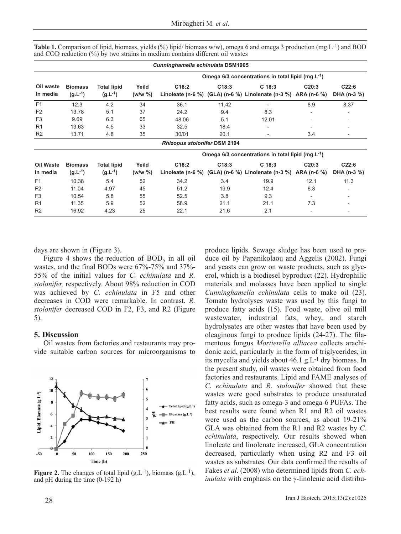| Cunninghamella echinulata DSM1905 |                                    |                                                               |                                                               |       |                                     |       |                                                                                                                                  |
|-----------------------------------|------------------------------------|---------------------------------------------------------------|---------------------------------------------------------------|-------|-------------------------------------|-------|----------------------------------------------------------------------------------------------------------------------------------|
| <b>Biomass</b><br>$(g.L^{-1})$    |                                    | Omega 6/3 concentrations in total lipid (mg.L <sup>-1</sup> ) |                                                               |       |                                     |       |                                                                                                                                  |
|                                   | <b>Total lipid</b><br>$(g.L^{-1})$ | Yeild<br>$(w/w \% )$                                          | C18:2                                                         | C18:3 | C <sub>18:3</sub>                   | C20:3 | C22:6<br>DHA (n-3 %)                                                                                                             |
| 12.3                              | 4.2                                | 34                                                            | 36.1                                                          | 11.42 |                                     | 8.9   | 8.37                                                                                                                             |
| 13.78                             | 5.1                                | 37                                                            | 24.2                                                          | 9.4   | 8.3                                 |       |                                                                                                                                  |
| 9.69                              | 6.3                                | 65                                                            | 48.06                                                         | 5.1   | 12.01                               |       |                                                                                                                                  |
| 13.63                             | 4.5                                | 33                                                            | 32.5                                                          | 18.4  |                                     |       | $\qquad \qquad \blacksquare$                                                                                                     |
| 13.71                             | 4.8                                | 35                                                            | 30/01                                                         | 20.1  |                                     | 3.4   |                                                                                                                                  |
|                                   |                                    |                                                               |                                                               |       |                                     |       |                                                                                                                                  |
|                                   |                                    |                                                               | Omega 6/3 concentrations in total lipid (mg.L <sup>-1</sup> ) |       |                                     |       |                                                                                                                                  |
| <b>Biomass</b><br>$(g.L^{-1})$    | <b>Total lipid</b><br>$(g.L^{-1})$ | Yeild<br>(w/w %)                                              | C18:2                                                         | C18:3 | C <sub>18:3</sub>                   | C20:3 | C22:6<br>DHA (n-3 %)                                                                                                             |
| 10.38                             | 5.4                                | 52                                                            | 34.2                                                          | 3.4   | 19.9                                | 12.1  | 11.3                                                                                                                             |
| 11.04                             | 4.97                               | 45                                                            | 51.2                                                          | 19.9  | 12.4                                | 6.3   |                                                                                                                                  |
| 10.54                             | 5.8                                | 55                                                            | 52.5                                                          | 3.8   | 9.3                                 | ۰     |                                                                                                                                  |
| 11.35                             | 5.9                                | 52                                                            | 58.9                                                          | 21.1  | 21.1                                | 7.3   |                                                                                                                                  |
| 16.92                             | 4.23                               | 25                                                            | 22.1                                                          | 21.6  | 2.1                                 | -     | $\overline{\phantom{a}}$                                                                                                         |
|                                   |                                    |                                                               |                                                               |       | <b>Rhizopus stolonifer DSM 2194</b> |       | Linoleate (n-6 %) (GLA) (n-6 %) Linolenate (n-3 %) ARA (n-6 %)<br>Linoleate (n-6 %) (GLA) (n-6 %) Linolenate (n-3 %) ARA (n-6 %) |

**Table 1.** Comparison of lipid, biomass, yields (%) lipid/ biomass w/w), omega 6 and omega 3 production (mg.L<sup>-1</sup>) and BOD and COD reduction (%) by two strains in medium contains different oil wastes

days are shown in (Figure 3).

Figure 4 shows the reduction of  $BOD<sub>5</sub>$  in all oil wastes, and the final BODs were 67%-75% and 37%- 55% of the initial values for *C. echinulata* and *R. stolonifer,* respectively. About 98% reduction in COD was achieved by *C. echinulata* in F5 and other decreases in COD were remarkable. In contrast, *R. stolonifer* decreased COD in F2, F3, and R2 (Figure 5).

### **5. Discussion**

Oil wastes from factories and restaurants may provide suitable carbon sources for microorganisms to



**Figure 2.** The changes of total lipid  $(g.L^{-1})$ , biomass  $(g.L^{-1})$ , and pH during the time (0-192 h)

produce lipids. Sewage sludge has been used to produce oil by Papanikolaou and Aggelis (2002). Fungi and yeasts can grow on waste products, such as glycerol, which is a biodiesel byproduct (22). Hydrophilic materials and molasses have been applied to single *Cunninghamella echinulata* cells to make oil (23). Tomato hydrolyses waste was used by this fungi to produce fatty acids (15). Food waste, olive oil mill wastewater, industrial fats, whey, and starch hydrolysates are other wastes that have been used by oleaginous fungi to produce lipids (24-27). The filamentous fungus *Mortierella alliacea* collects arachidonic acid, particularly in the form of triglycerides, in its mycelia and yields about 46.1 g.L-1 dry biomass. In the present study, oil wastes were obtained from food factories and restaurants. Lipid and FAME analyses of *C. echinulata* and *R. stolonifer* showed that these wastes were good substrates to produce unsaturated fatty acids, such as omega-3 and omega-6 PUFAs. The best results were found when R1 and R2 oil wastes were used as the carbon sources, as about 19-21% GLA was obtained from the R1 and R2 wastes by *C. echinulata*, respectively. Our results showed when linoleate and linolenate increased, GLA concentration decreased, particularly when using R2 and F3 oil wastes as substrates. Our data confirmed the results of Fakes *et al*. (2008) who determined lipids from *C. echinulata* with emphasis on the γ-linolenic acid distribu-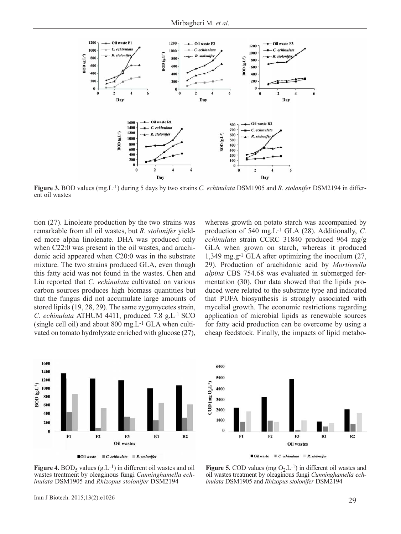

**Figure 3.** BOD values (mg.L-1) during 5 days by two strains *C. echinulata* DSM1905 and *R. stolonifer* DSM2194 in different oil wastes

tion (27). Linoleate production by the two strains was remarkable from all oil wastes, but *R. stolonifer* yielded more alpha linolenate. DHA was produced only when C22:0 was present in the oil wastes, and arachidonic acid appeared when C20:0 was in the substrate mixture. The two strains produced GLA, even though this fatty acid was not found in the wastes. Chen and Liu reported that *C. echinulata* cultivated on various carbon sources produces high biomass quantities but that the fungus did not accumulate large amounts of stored lipids (19, 28, 29). The same zygomycetes strain, *C. echinulata* ATHUM 4411, produced 7.8 g.L-1 SCO (single cell oil) and about 800 mg.L-1 GLA when cultivated on tomato hydrolyzate enriched with glucose (27), whereas growth on potato starch was accompanied by production of 540 mg.L-1 GLA (28). Additionally, *C. echinulata* strain CCRC 31840 produced 964 mg/g GLA when grown on starch, whereas it produced 1,349 mg.g-1 GLA after optimizing the inoculum (27, 29). Production of arachidonic acid by *Mortierella alpina* CBS 754.68 was evaluated in submerged fermentation (30). Our data showed that the lipids produced were related to the substrate type and indicated that PUFA biosynthesis is strongly associated with mycelial growth. The economic restrictions regarding application of microbial lipids as renewable sources for fatty acid production can be overcome by using a cheap feedstock. Finally, the impacts of lipid metabo-



**Noil waste**  $\blacksquare$  *C. echinulata*  $\blacksquare$  *R. stolonifer* 



6000

5000

**Figure 4.** BOD<sub>5</sub> values  $(g<sub>L</sub>-1)$  in different oil wastes and oil wastes treatment by oleaginous fungi *Cunninghamella echinulata* DSM1905 and *Rhizopus stolonifer* DSM2194

**Figure 5.** COD values (mg  $O_2.L^{-1}$ ) in different oil wastes and oil wastes treatment by oleaginous fungi *Cunninghamella echinulata* DSM1905 and *Rhizopus stolonifer* DSM2194